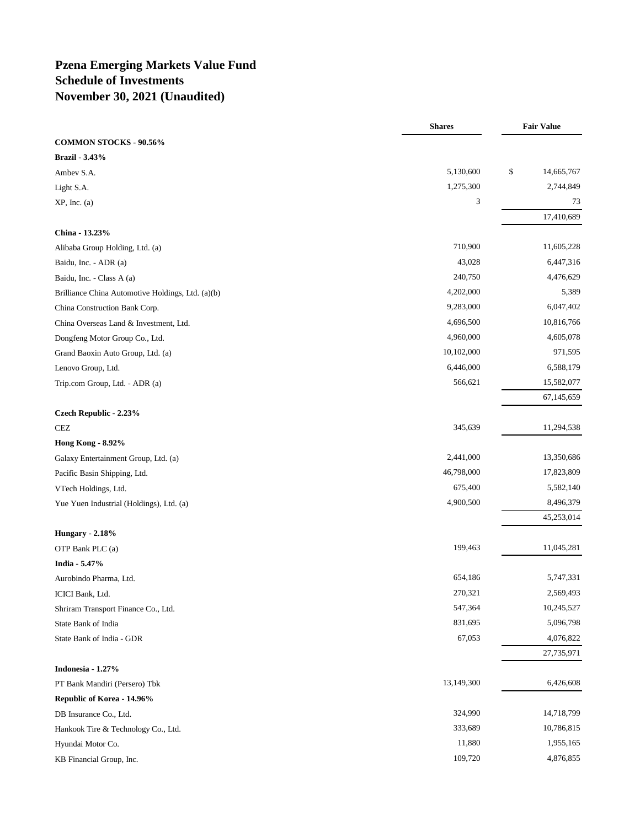# **Pzena Emerging Markets Value Fund Schedule of Investments November 30, 2021 (Unaudited)**

|                                                   | <b>Shares</b> | <b>Fair Value</b> |
|---------------------------------------------------|---------------|-------------------|
| <b>COMMON STOCKS - 90.56%</b>                     |               |                   |
| Brazil - 3.43%                                    |               |                   |
| Ambev S.A.                                        | 5,130,600     | \$<br>14,665,767  |
| Light S.A.                                        | 1,275,300     | 2,744,849         |
| XP, Inc. (a)                                      | 3             | 73                |
|                                                   |               | 17,410,689        |
| China - 13.23%                                    |               |                   |
| Alibaba Group Holding, Ltd. (a)                   | 710,900       | 11,605,228        |
| Baidu, Inc. - ADR (a)                             | 43,028        | 6,447,316         |
| Baidu, Inc. - Class A (a)                         | 240,750       | 4,476,629         |
| Brilliance China Automotive Holdings, Ltd. (a)(b) | 4,202,000     | 5,389             |
| China Construction Bank Corp.                     | 9,283,000     | 6,047,402         |
| China Overseas Land & Investment, Ltd.            | 4,696,500     | 10,816,766        |
| Dongfeng Motor Group Co., Ltd.                    | 4,960,000     | 4,605,078         |
| Grand Baoxin Auto Group, Ltd. (a)                 | 10,102,000    | 971,595           |
| Lenovo Group, Ltd.                                | 6,446,000     | 6,588,179         |
| Trip.com Group, Ltd. - ADR (a)                    | 566,621       | 15,582,077        |
|                                                   |               | 67,145,659        |
| Czech Republic - 2.23%                            |               |                   |
| CEZ                                               | 345,639       | 11,294,538        |
| <b>Hong Kong - 8.92%</b>                          |               |                   |
| Galaxy Entertainment Group, Ltd. (a)              | 2,441,000     | 13,350,686        |
| Pacific Basin Shipping, Ltd.                      | 46,798,000    | 17,823,809        |
| VTech Holdings, Ltd.                              | 675,400       | 5,582,140         |
| Yue Yuen Industrial (Holdings), Ltd. (a)          | 4,900,500     | 8,496,379         |
|                                                   |               | 45,253,014        |
| <b>Hungary - 2.18%</b>                            |               |                   |
| OTP Bank PLC (a)                                  | 199,463       | 11,045,281        |
| India - 5.47%                                     |               |                   |
| Aurobindo Pharma, Ltd.                            | 654,186       | 5,747,331         |
| ICICI Bank, Ltd.                                  | 270,321       | 2,569,493         |
| Shriram Transport Finance Co., Ltd.               | 547,364       | 10,245,527        |
| State Bank of India                               | 831,695       | 5,096,798         |
| State Bank of India - GDR                         | 67,053        | 4,076,822         |
|                                                   |               | 27,735,971        |
| Indonesia - 1.27%                                 |               |                   |
| PT Bank Mandiri (Persero) Tbk                     | 13,149,300    | 6,426,608         |
| Republic of Korea - 14.96%                        |               |                   |
| DB Insurance Co., Ltd.                            | 324,990       | 14,718,799        |
| Hankook Tire & Technology Co., Ltd.               | 333,689       | 10,786,815        |
| Hyundai Motor Co.                                 | 11,880        | 1,955,165         |
| KB Financial Group, Inc.                          | 109,720       | 4,876,855         |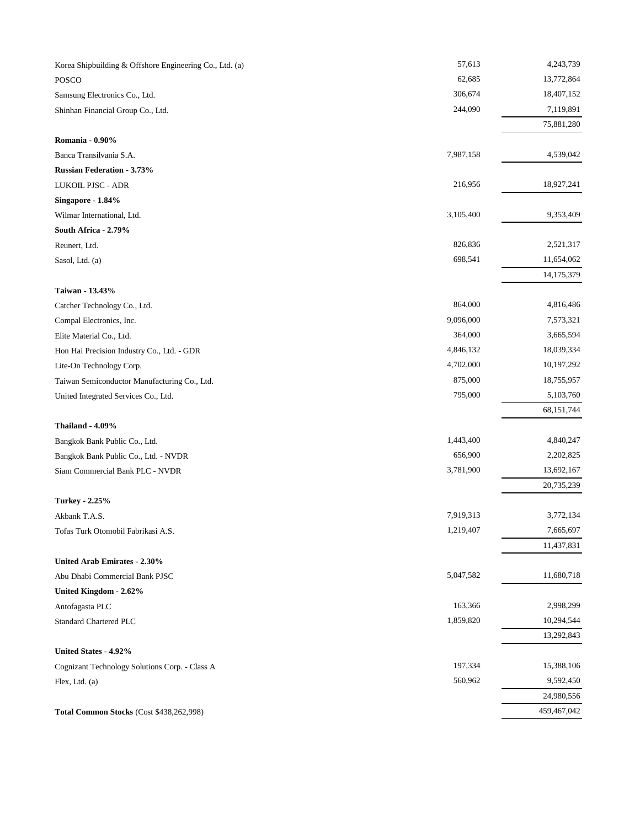| Korea Shipbuilding & Offshore Engineering Co., Ltd. (a) | 57,613    | 4,243,739    |
|---------------------------------------------------------|-----------|--------------|
| <b>POSCO</b>                                            | 62,685    | 13,772,864   |
| Samsung Electronics Co., Ltd.                           | 306,674   | 18,407,152   |
| Shinhan Financial Group Co., Ltd.                       | 244,090   | 7,119,891    |
|                                                         |           | 75,881,280   |
| Romania - 0.90%                                         |           |              |
| Banca Transilvania S.A.                                 | 7,987,158 | 4,539,042    |
| <b>Russian Federation - 3.73%</b>                       |           |              |
| <b>LUKOIL PJSC - ADR</b>                                | 216,956   | 18,927,241   |
| Singapore - 1.84%                                       |           |              |
| Wilmar International, Ltd.                              | 3,105,400 | 9,353,409    |
| South Africa - 2.79%                                    |           |              |
| Reunert, Ltd.                                           | 826,836   | 2,521,317    |
| Sasol, Ltd. (a)                                         | 698,541   | 11,654,062   |
|                                                         |           | 14, 175, 379 |
| Taiwan - 13.43%                                         |           |              |
| Catcher Technology Co., Ltd.                            | 864,000   | 4,816,486    |
| Compal Electronics, Inc.                                | 9,096,000 | 7,573,321    |
| Elite Material Co., Ltd.                                | 364,000   | 3,665,594    |
| Hon Hai Precision Industry Co., Ltd. - GDR              | 4,846,132 | 18,039,334   |
| Lite-On Technology Corp.                                | 4,702,000 | 10, 197, 292 |
| Taiwan Semiconductor Manufacturing Co., Ltd.            | 875,000   | 18,755,957   |
| United Integrated Services Co., Ltd.                    | 795,000   | 5,103,760    |
|                                                         |           | 68,151,744   |
| <b>Thailand - 4.09%</b>                                 |           |              |
| Bangkok Bank Public Co., Ltd.                           | 1,443,400 | 4,840,247    |
| Bangkok Bank Public Co., Ltd. - NVDR                    | 656,900   | 2,202,825    |
| Siam Commercial Bank PLC - NVDR                         | 3,781,900 | 13,692,167   |
|                                                         |           | 20,735,239   |
| <b>Turkey - 2.25%</b>                                   |           |              |
| Akbank T.A.S.                                           | 7,919,313 | 3,772,134    |
| Tofas Turk Otomobil Fabrikasi A.S.                      | 1,219,407 | 7,665,697    |
|                                                         |           | 11,437,831   |
| United Arab Emirates - 2.30%                            |           |              |
| Abu Dhabi Commercial Bank PJSC                          | 5,047,582 | 11,680,718   |
| United Kingdom - 2.62%                                  |           |              |
| Antofagasta PLC                                         | 163,366   | 2,998,299    |
| Standard Chartered PLC                                  | 1,859,820 | 10,294,544   |
|                                                         |           | 13,292,843   |
| United States - 4.92%                                   |           |              |
| Cognizant Technology Solutions Corp. - Class A          | 197,334   | 15,388,106   |
| Flex, Ltd. (a)                                          | 560,962   | 9,592,450    |
|                                                         |           | 24,980,556   |
| Total Common Stocks (Cost \$438,262,998)                |           | 459,467,042  |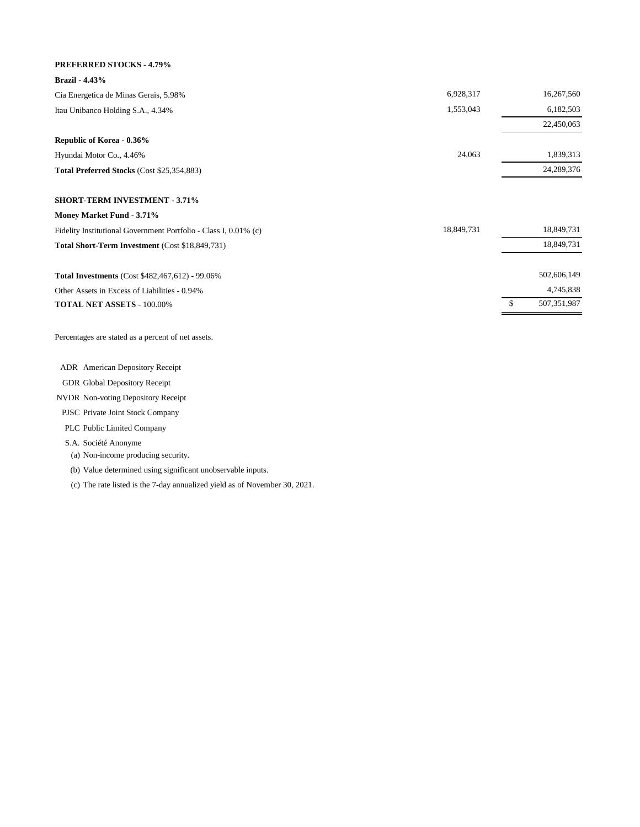#### **PREFERRED STOCKS - 4.79%**

| <b>Brazil - 4.43%</b>                                            |            |              |
|------------------------------------------------------------------|------------|--------------|
| Cia Energetica de Minas Gerais, 5.98%                            | 6,928,317  | 16,267,560   |
| Itau Unibanco Holding S.A., 4.34%                                | 1,553,043  | 6,182,503    |
|                                                                  |            | 22,450,063   |
| Republic of Korea - 0.36%                                        |            |              |
| Hyundai Motor Co., 4.46%                                         | 24,063     | 1,839,313    |
| Total Preferred Stocks (Cost \$25,354,883)                       |            | 24, 289, 376 |
| <b>SHORT-TERM INVESTMENT - 3.71%</b>                             |            |              |
| Money Market Fund - 3.71%                                        |            |              |
| Fidelity Institutional Government Portfolio - Class I, 0.01% (c) | 18,849,731 | 18,849,731   |
| Total Short-Term Investment (Cost \$18,849,731)                  |            | 18,849,731   |

502,606,149 4,745,838

\$ 507,351,987 **Total Investments** (Cost \$482,467,612) - 99.06% Other Assets in Excess of Liabilities - 0.94% **TOTAL NET ASSETS** - 100.00%

Percentages are stated as a percent of net assets.

ADR American Depository Receipt

GDR Global Depository Receipt

NVDR Non-voting Depository Receipt

PJSC Private Joint Stock Company

PLC Public Limited Company

S.A. Société Anonyme

(a) Non-income producing security.

(b) Value determined using significant unobservable inputs.

(c) The rate listed is the 7-day annualized yield as of November 30, 2021.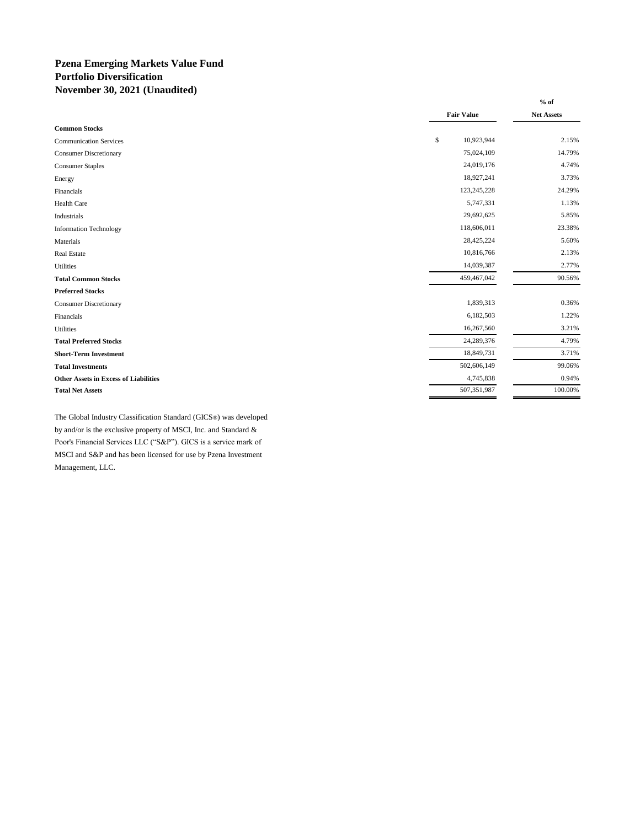### **Pzena Emerging Markets Value Fund Portfolio Diversification November 30, 2021 (Unaudited)**

|                                              |                   | $%$ of     |
|----------------------------------------------|-------------------|------------|
|                                              | <b>Fair Value</b> | Net Assets |
| <b>Common Stocks</b>                         |                   |            |
| <b>Communication Services</b>                | \$<br>10,923,944  | 2.15%      |
| <b>Consumer Discretionary</b>                | 75,024,109        | 14.79%     |
| <b>Consumer Staples</b>                      | 24,019,176        | 4.74%      |
| Energy                                       | 18,927,241        | 3.73%      |
| Financials                                   | 123,245,228       | 24.29%     |
| Health Care                                  | 5,747,331         | 1.13%      |
| Industrials                                  | 29,692,625        | 5.85%      |
| <b>Information Technology</b>                | 118,606,011       | 23.38%     |
| Materials                                    | 28,425,224        | 5.60%      |
| <b>Real Estate</b>                           | 10,816,766        | 2.13%      |
| Utilities                                    | 14,039,387        | 2.77%      |
| <b>Total Common Stocks</b>                   | 459,467,042       | 90.56%     |
| <b>Preferred Stocks</b>                      |                   |            |
| <b>Consumer Discretionary</b>                | 1,839,313         | 0.36%      |
| Financials                                   | 6,182,503         | 1.22%      |
| Utilities                                    | 16,267,560        | 3.21%      |
| <b>Total Preferred Stocks</b>                | 24,289,376        | 4.79%      |
| <b>Short-Term Investment</b>                 | 18,849,731        | 3.71%      |
| <b>Total Investments</b>                     | 502,606,149       | 99.06%     |
| <b>Other Assets in Excess of Liabilities</b> | 4,745,838         | 0.94%      |
| <b>Total Net Assets</b>                      | 507,351,987       | 100.00%    |
|                                              |                   |            |

The Global Industry Classification Standard (GICS®) was developed by and/or is the exclusive property of MSCI, Inc. and Standard & Poor's Financial Services LLC ("S&P"). GICS is a service mark of MSCI and S&P and has been licensed for use by Pzena Investment Management, LLC.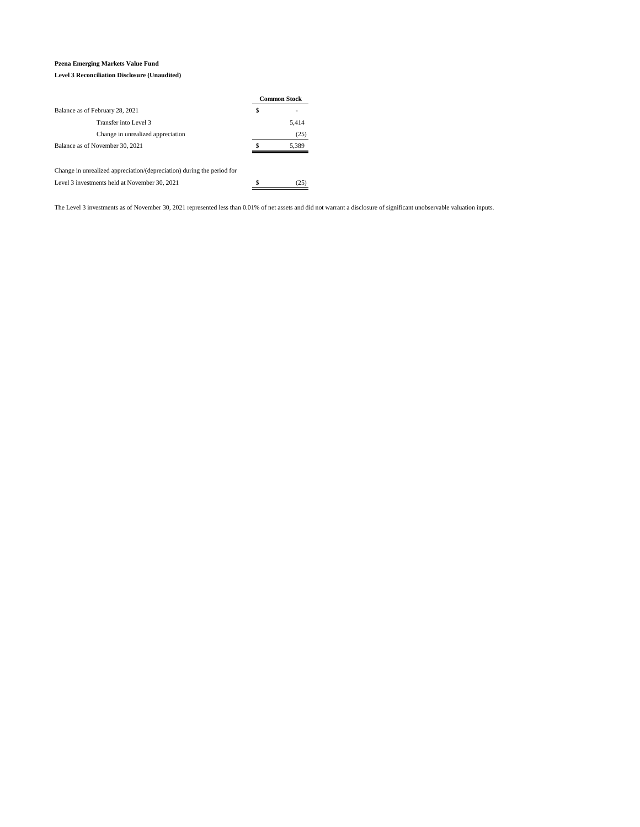#### **Pzena Emerging Markets Value Fund Level 3 Reconciliation Disclosure (Unaudited)**

|                                                                        | <b>Common Stock</b> |
|------------------------------------------------------------------------|---------------------|
| Balance as of February 28, 2021                                        | \$                  |
| Transfer into Level 3                                                  | 5,414               |
| Change in unrealized appreciation                                      | (25)                |
| Balance as of November 30, 2021                                        | 5,389               |
| Change in unrealized appreciation/(depreciation) during the period for |                     |
|                                                                        |                     |
| Level 3 investments held at November 30, 2021                          | (25                 |

The Level 3 investments as of November 30, 2021 represented less than 0.01% of net assets and did not warrant a disclosure of significant unobservable valuation inputs.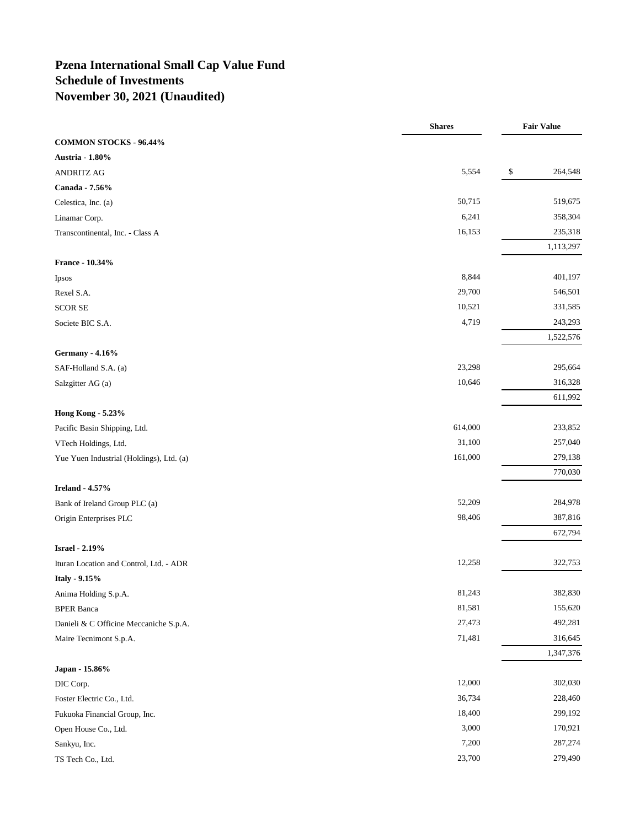# **Pzena International Small Cap Value Fund Schedule of Investments November 30, 2021 (Unaudited)**

|                                          | <b>Shares</b> | <b>Fair Value</b> |
|------------------------------------------|---------------|-------------------|
| COMMON STOCKS - 96.44%                   |               |                   |
| Austria - 1.80%                          |               |                   |
| <b>ANDRITZ AG</b>                        | 5,554         | \$<br>264,548     |
| Canada - 7.56%                           |               |                   |
| Celestica, Inc. (a)                      | 50,715        | 519,675           |
| Linamar Corp.                            | 6,241         | 358,304           |
| Transcontinental, Inc. - Class A         | 16,153        | 235,318           |
|                                          |               | 1,113,297         |
| France - 10.34%                          |               |                   |
| Ipsos                                    | 8,844         | 401,197           |
| Rexel S.A.                               | 29,700        | 546,501           |
| <b>SCOR SE</b>                           | 10,521        | 331,585           |
| Societe BIC S.A.                         | 4,719         | 243,293           |
|                                          |               | 1,522,576         |
| <b>Germany - 4.16%</b>                   |               |                   |
| SAF-Holland S.A. (a)                     | 23,298        | 295,664           |
| Salzgitter AG (a)                        | 10,646        | 316,328           |
|                                          |               | 611,992           |
| Hong Kong - 5.23%                        |               |                   |
| Pacific Basin Shipping, Ltd.             | 614,000       | 233,852           |
| VTech Holdings, Ltd.                     | 31,100        | 257,040           |
| Yue Yuen Industrial (Holdings), Ltd. (a) | 161,000       | 279,138           |
|                                          |               | 770,030           |
| <b>Ireland - 4.57%</b>                   |               |                   |
| Bank of Ireland Group PLC (a)            | 52,209        | 284,978           |
| Origin Enterprises PLC                   | 98,406        | 387,816           |
|                                          |               | 672,794           |
| <b>Israel - 2.19%</b>                    |               |                   |
| Ituran Location and Control, Ltd. - ADR  | 12,258        | 322,753           |
| Italy - 9.15%                            |               |                   |
| Anima Holding S.p.A.                     | 81,243        | 382,830           |
| <b>BPER Banca</b>                        | 81,581        | 155,620           |
| Danieli & C Officine Meccaniche S.p.A.   | 27,473        | 492,281           |
| Maire Tecnimont S.p.A.                   | 71,481        | 316,645           |
|                                          |               | 1,347,376         |
| Japan - 15.86%                           |               |                   |
| DIC Corp.                                | 12,000        | 302,030           |
| Foster Electric Co., Ltd.                | 36,734        | 228,460           |
| Fukuoka Financial Group, Inc.            | 18,400        | 299,192           |
| Open House Co., Ltd.                     | 3,000         | 170,921           |
| Sankyu, Inc.                             | 7,200         | 287,274           |
| TS Tech Co., Ltd.                        | 23,700        | 279,490           |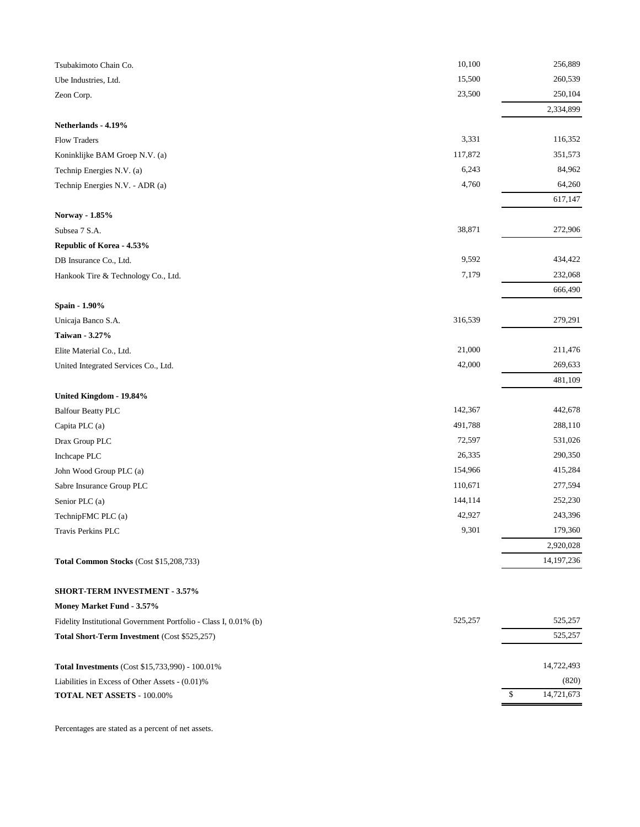| Tsubakimoto Chain Co.                                            | 10,100  | 256,889         |
|------------------------------------------------------------------|---------|-----------------|
| Ube Industries, Ltd.                                             | 15,500  | 260,539         |
| Zeon Corp.                                                       | 23,500  | 250,104         |
|                                                                  |         | 2,334,899       |
| Netherlands - 4.19%                                              |         |                 |
| Flow Traders                                                     | 3,331   | 116,352         |
| Koninklijke BAM Groep N.V. (a)                                   | 117,872 | 351,573         |
| Technip Energies N.V. (a)                                        | 6,243   | 84,962          |
| Technip Energies N.V. - ADR (a)                                  | 4,760   | 64,260          |
|                                                                  |         | 617,147         |
| Norway - 1.85%                                                   |         |                 |
| Subsea 7 S.A.                                                    | 38,871  | 272,906         |
| Republic of Korea - 4.53%                                        |         |                 |
| DB Insurance Co., Ltd.                                           | 9,592   | 434,422         |
| Hankook Tire & Technology Co., Ltd.                              | 7,179   | 232,068         |
|                                                                  |         | 666,490         |
| Spain - 1.90%                                                    |         |                 |
| Unicaja Banco S.A.                                               | 316,539 | 279,291         |
| Taiwan - 3.27%                                                   |         |                 |
| Elite Material Co., Ltd.                                         | 21,000  | 211,476         |
| United Integrated Services Co., Ltd.                             | 42,000  | 269,633         |
| United Kingdom - 19.84%                                          |         | 481,109         |
| <b>Balfour Beatty PLC</b>                                        | 142,367 | 442,678         |
| Capita PLC (a)                                                   | 491,788 | 288,110         |
| Drax Group PLC                                                   | 72,597  | 531,026         |
| Inchcape PLC                                                     | 26,335  | 290,350         |
| John Wood Group PLC (a)                                          | 154,966 | 415,284         |
| Sabre Insurance Group PLC                                        | 110,671 | 277,594         |
| Senior PLC (a)                                                   | 144,114 | 252,230         |
| TechnipFMC PLC (a)                                               | 42,927  | 243,396         |
| Travis Perkins PLC                                               | 9,301   | 179,360         |
|                                                                  |         | 2,920,028       |
| Total Common Stocks (Cost \$15,208,733)                          |         | 14, 197, 236    |
| <b>SHORT-TERM INVESTMENT - 3.57%</b>                             |         |                 |
| Money Market Fund - 3.57%                                        |         |                 |
| Fidelity Institutional Government Portfolio - Class I, 0.01% (b) | 525,257 | 525,257         |
| Total Short-Term Investment (Cost \$525,257)                     |         | 525,257         |
|                                                                  |         |                 |
| Total Investments (Cost \$15,733,990) - 100.01%                  |         | 14,722,493      |
| Liabilities in Excess of Other Assets - (0.01)%                  |         | (820)           |
| TOTAL NET ASSETS - 100.00%                                       |         | 14,721,673<br>S |
|                                                                  |         |                 |

Percentages are stated as a percent of net assets.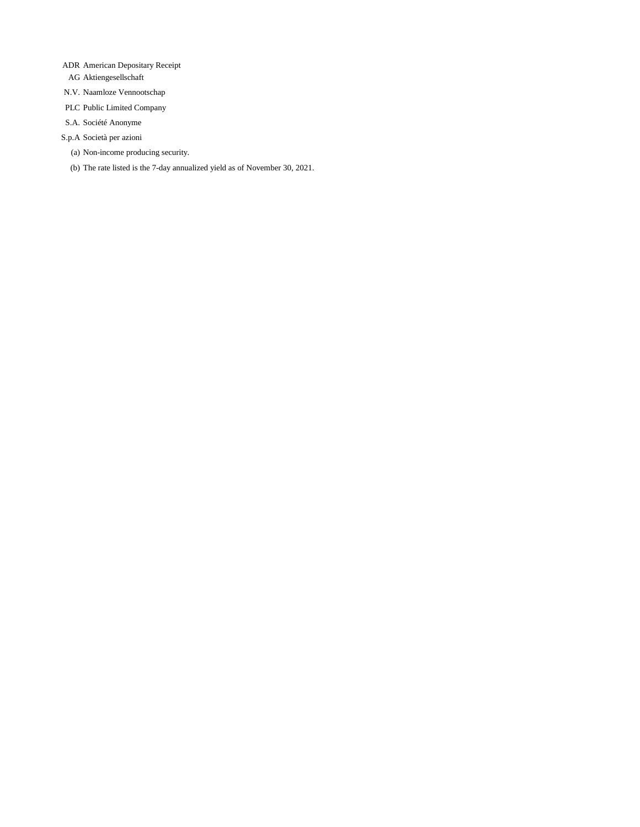- ADR American Depositary Receipt
- AG Aktiengesellschaft
- N.V. Naamloze Vennootschap
- PLC Public Limited Company
- S.A. Société Anonyme
- S.p.A Società per azioni
	- (a) Non-income producing security.
	- (b) The rate listed is the 7-day annualized yield as of November 30, 2021.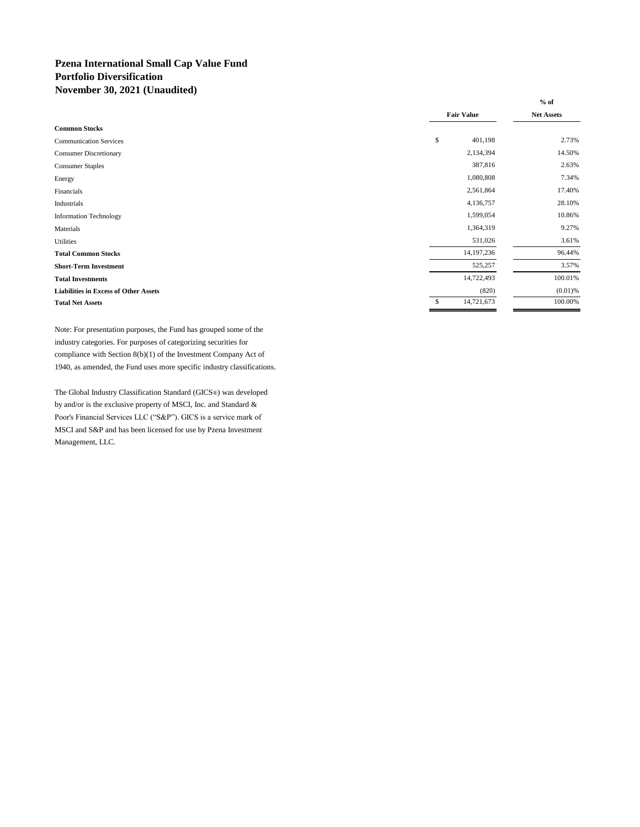### **Pzena International Small Cap Value Fund Portfolio Diversification November 30, 2021 (Unaudited)**

|                                              |                   | $%$ of                 |
|----------------------------------------------|-------------------|------------------------|
|                                              | <b>Fair Value</b> | <b>Net Assets</b>      |
| <b>Common Stocks</b>                         |                   |                        |
| <b>Communication Services</b>                | \$                | 401,198<br>2.73%       |
| <b>Consumer Discretionary</b>                |                   | 2,134,394<br>14.50%    |
| <b>Consumer Staples</b>                      |                   | 2.63%<br>387,816       |
| Energy                                       |                   | 1,080,808<br>7.34%     |
| Financials                                   |                   | 2,561,864<br>17.40%    |
| Industrials                                  |                   | 4,136,757<br>28.10%    |
| <b>Information Technology</b>                |                   | 1,599,054<br>10.86%    |
| Materials                                    |                   | 1,364,319<br>9.27%     |
| <b>Utilities</b>                             |                   | 3.61%<br>531,026       |
| <b>Total Common Stocks</b>                   |                   | 14, 197, 236<br>96.44% |
| <b>Short-Term Investment</b>                 |                   | 3.57%<br>525,257       |
| <b>Total Investments</b>                     |                   | 100.01%<br>14,722,493  |
| <b>Liabilities in Excess of Other Assets</b> |                   | (820)<br>$(0.01)$ %    |
| <b>Total Net Assets</b>                      | \$                | 14,721,673<br>100.00%  |

Note: For presentation purposes, the Fund has grouped some of the industry categories. For purposes of categorizing securities for compliance with Section 8(b)(1) of the Investment Company Act of 1940, as amended, the Fund uses more specific industry classifications.

The Global Industry Classification Standard (GICS®) was developed by and/or is the exclusive property of MSCI, Inc. and Standard & Poor's Financial Services LLC ("S&P"). GICS is a service mark of MSCI and S&P and has been licensed for use by Pzena Investment Management, LLC.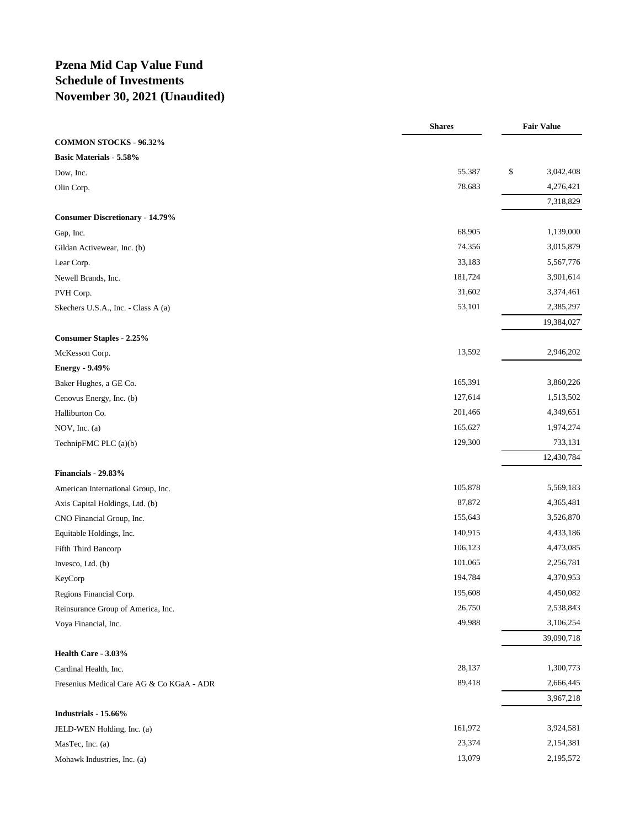## **Pzena Mid Cap Value Fund Schedule of Investments November 30, 2021 (Unaudited)**

|                                           | <b>Shares</b> | <b>Fair Value</b> |
|-------------------------------------------|---------------|-------------------|
| COMMON STOCKS - 96.32%                    |               |                   |
| <b>Basic Materials - 5.58%</b>            |               |                   |
| Dow, Inc.                                 | 55,387        | \$<br>3,042,408   |
| Olin Corp.                                | 78,683        | 4,276,421         |
|                                           |               | 7,318,829         |
| <b>Consumer Discretionary - 14.79%</b>    |               |                   |
| Gap, Inc.                                 | 68,905        | 1,139,000         |
| Gildan Activewear, Inc. (b)               | 74,356        | 3,015,879         |
| Lear Corp.                                | 33,183        | 5,567,776         |
| Newell Brands, Inc.                       | 181,724       | 3,901,614         |
| PVH Corp.                                 | 31,602        | 3,374,461         |
| Skechers U.S.A., Inc. - Class A (a)       | 53,101        | 2,385,297         |
|                                           |               | 19,384,027        |
| <b>Consumer Staples - 2.25%</b>           |               |                   |
| McKesson Corp.                            | 13,592        | 2,946,202         |
| <b>Energy - 9.49%</b>                     |               |                   |
| Baker Hughes, a GE Co.                    | 165,391       | 3,860,226         |
| Cenovus Energy, Inc. (b)                  | 127,614       | 1,513,502         |
| Halliburton Co.                           | 201,466       | 4,349,651         |
| NOV, Inc. (a)                             | 165,627       | 1,974,274         |
| TechnipFMC PLC (a)(b)                     | 129,300       | 733,131           |
| Financials - 29.83%                       |               | 12,430,784        |
| American International Group, Inc.        | 105,878       | 5,569,183         |
|                                           | 87,872        | 4,365,481         |
| Axis Capital Holdings, Ltd. (b)           | 155,643       | 3,526,870         |
| CNO Financial Group, Inc.                 | 140,915       | 4,433,186         |
| Equitable Holdings, Inc.                  | 106,123       | 4,473,085         |
| Fifth Third Bancorp                       | 101,065       | 2,256,781         |
| Invesco, Ltd. (b)                         | 194,784       | 4,370,953         |
| KeyCorp<br>Regions Financial Corp.        | 195,608       | 4,450,082         |
|                                           | 26,750        | 2,538,843         |
| Reinsurance Group of America, Inc.        | 49,988        | 3,106,254         |
| Voya Financial, Inc.                      |               | 39,090,718        |
| Health Care - 3.03%                       |               |                   |
| Cardinal Health, Inc.                     | 28,137        | 1,300,773         |
| Fresenius Medical Care AG & Co KGaA - ADR | 89,418        | 2,666,445         |
|                                           |               | 3,967,218         |
| Industrials - 15.66%                      |               |                   |
| JELD-WEN Holding, Inc. (a)                | 161,972       | 3,924,581         |
| MasTec, Inc. (a)                          | 23,374        | 2,154,381         |
| Mohawk Industries, Inc. (a)               | 13,079        | 2,195,572         |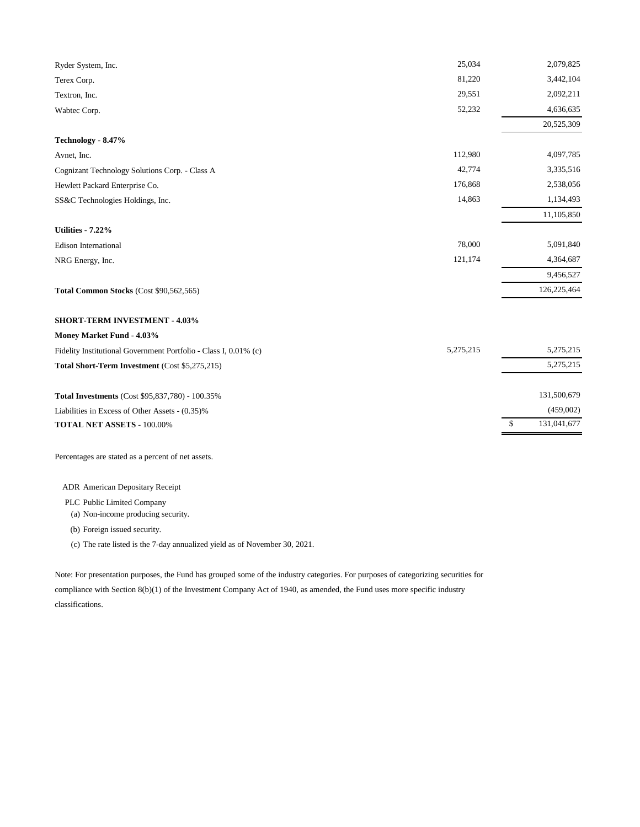| 3,442,104<br>81,220<br>Terex Corp.<br>29,551<br>2,092,211<br>Textron, Inc.<br>52,232<br>4,636,635<br>Wabtec Corp.<br>20,525,309<br>Technology - 8.47%<br>112,980<br>4,097,785<br>Avnet, Inc.<br>42,774<br>3,335,516<br>Cognizant Technology Solutions Corp. - Class A<br>176,868<br>2,538,056<br>Hewlett Packard Enterprise Co.<br>14,863<br>1,134,493<br>SS&C Technologies Holdings, Inc.<br>11,105,850<br><b>Utilities - 7.22%</b><br>78,000<br>5,091,840<br><b>Edison International</b><br>121,174<br>4,364,687<br>NRG Energy, Inc.<br>9,456,527<br>126,225,464<br>Total Common Stocks (Cost \$90,562,565)<br><b>SHORT-TERM INVESTMENT - 4.03%</b><br>Money Market Fund - 4.03%<br>5,275,215<br>5,275,215<br>Fidelity Institutional Government Portfolio - Class I, 0.01% (c)<br>5,275,215<br>Total Short-Term Investment (Cost \$5,275,215)<br>131,500,679<br>Total Investments (Cost \$95,837,780) - 100.35%<br>(459,002)<br>Liabilities in Excess of Other Assets - (0.35)%<br>131,041,677<br>\$<br>TOTAL NET ASSETS - 100.00% | Ryder System, Inc. | 25,034 | 2,079,825 |
|--------------------------------------------------------------------------------------------------------------------------------------------------------------------------------------------------------------------------------------------------------------------------------------------------------------------------------------------------------------------------------------------------------------------------------------------------------------------------------------------------------------------------------------------------------------------------------------------------------------------------------------------------------------------------------------------------------------------------------------------------------------------------------------------------------------------------------------------------------------------------------------------------------------------------------------------------------------------------------------------------------------------------------------|--------------------|--------|-----------|
|                                                                                                                                                                                                                                                                                                                                                                                                                                                                                                                                                                                                                                                                                                                                                                                                                                                                                                                                                                                                                                      |                    |        |           |
|                                                                                                                                                                                                                                                                                                                                                                                                                                                                                                                                                                                                                                                                                                                                                                                                                                                                                                                                                                                                                                      |                    |        |           |
|                                                                                                                                                                                                                                                                                                                                                                                                                                                                                                                                                                                                                                                                                                                                                                                                                                                                                                                                                                                                                                      |                    |        |           |
|                                                                                                                                                                                                                                                                                                                                                                                                                                                                                                                                                                                                                                                                                                                                                                                                                                                                                                                                                                                                                                      |                    |        |           |
|                                                                                                                                                                                                                                                                                                                                                                                                                                                                                                                                                                                                                                                                                                                                                                                                                                                                                                                                                                                                                                      |                    |        |           |
|                                                                                                                                                                                                                                                                                                                                                                                                                                                                                                                                                                                                                                                                                                                                                                                                                                                                                                                                                                                                                                      |                    |        |           |
|                                                                                                                                                                                                                                                                                                                                                                                                                                                                                                                                                                                                                                                                                                                                                                                                                                                                                                                                                                                                                                      |                    |        |           |
|                                                                                                                                                                                                                                                                                                                                                                                                                                                                                                                                                                                                                                                                                                                                                                                                                                                                                                                                                                                                                                      |                    |        |           |
|                                                                                                                                                                                                                                                                                                                                                                                                                                                                                                                                                                                                                                                                                                                                                                                                                                                                                                                                                                                                                                      |                    |        |           |
|                                                                                                                                                                                                                                                                                                                                                                                                                                                                                                                                                                                                                                                                                                                                                                                                                                                                                                                                                                                                                                      |                    |        |           |
|                                                                                                                                                                                                                                                                                                                                                                                                                                                                                                                                                                                                                                                                                                                                                                                                                                                                                                                                                                                                                                      |                    |        |           |
|                                                                                                                                                                                                                                                                                                                                                                                                                                                                                                                                                                                                                                                                                                                                                                                                                                                                                                                                                                                                                                      |                    |        |           |
|                                                                                                                                                                                                                                                                                                                                                                                                                                                                                                                                                                                                                                                                                                                                                                                                                                                                                                                                                                                                                                      |                    |        |           |
|                                                                                                                                                                                                                                                                                                                                                                                                                                                                                                                                                                                                                                                                                                                                                                                                                                                                                                                                                                                                                                      |                    |        |           |
|                                                                                                                                                                                                                                                                                                                                                                                                                                                                                                                                                                                                                                                                                                                                                                                                                                                                                                                                                                                                                                      |                    |        |           |
|                                                                                                                                                                                                                                                                                                                                                                                                                                                                                                                                                                                                                                                                                                                                                                                                                                                                                                                                                                                                                                      |                    |        |           |
|                                                                                                                                                                                                                                                                                                                                                                                                                                                                                                                                                                                                                                                                                                                                                                                                                                                                                                                                                                                                                                      |                    |        |           |
|                                                                                                                                                                                                                                                                                                                                                                                                                                                                                                                                                                                                                                                                                                                                                                                                                                                                                                                                                                                                                                      |                    |        |           |
|                                                                                                                                                                                                                                                                                                                                                                                                                                                                                                                                                                                                                                                                                                                                                                                                                                                                                                                                                                                                                                      |                    |        |           |
|                                                                                                                                                                                                                                                                                                                                                                                                                                                                                                                                                                                                                                                                                                                                                                                                                                                                                                                                                                                                                                      |                    |        |           |
|                                                                                                                                                                                                                                                                                                                                                                                                                                                                                                                                                                                                                                                                                                                                                                                                                                                                                                                                                                                                                                      |                    |        |           |
|                                                                                                                                                                                                                                                                                                                                                                                                                                                                                                                                                                                                                                                                                                                                                                                                                                                                                                                                                                                                                                      |                    |        |           |
|                                                                                                                                                                                                                                                                                                                                                                                                                                                                                                                                                                                                                                                                                                                                                                                                                                                                                                                                                                                                                                      |                    |        |           |

Percentages are stated as a percent of net assets.

ADR American Depositary Receipt

PLC Public Limited Company

(a) Non-income producing security.

(b) Foreign issued security.

(c) The rate listed is the 7-day annualized yield as of November 30, 2021.

Note: For presentation purposes, the Fund has grouped some of the industry categories. For purposes of categorizing securities for compliance with Section 8(b)(1) of the Investment Company Act of 1940, as amended, the Fund uses more specific industry classifications.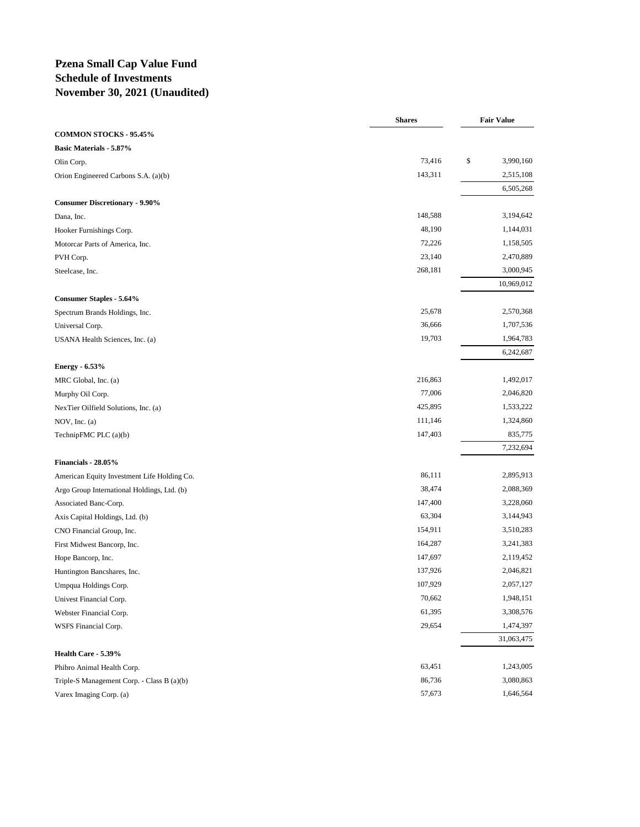### **Pzena Small Cap Value Fund Schedule of Investments November 30, 2021 (Unaudited)**

|                                             | <b>Shares</b> | <b>Fair Value</b> |
|---------------------------------------------|---------------|-------------------|
| <b>COMMON STOCKS - 95.45%</b>               |               |                   |
| <b>Basic Materials - 5.87%</b>              |               |                   |
| Olin Corp.                                  | 73,416        | \$<br>3,990,160   |
| Orion Engineered Carbons S.A. (a)(b)        | 143,311       | 2,515,108         |
|                                             |               | 6,505,268         |
| <b>Consumer Discretionary - 9.90%</b>       |               |                   |
| Dana, Inc.                                  | 148,588       | 3,194,642         |
| Hooker Furnishings Corp.                    | 48,190        | 1,144,031         |
| Motorcar Parts of America, Inc.             | 72,226        | 1,158,505         |
| PVH Corp.                                   | 23,140        | 2,470,889         |
| Steelcase, Inc.                             | 268,181       | 3,000,945         |
|                                             |               | 10,969,012        |
| <b>Consumer Staples - 5.64%</b>             |               |                   |
| Spectrum Brands Holdings, Inc.              | 25,678        | 2,570,368         |
| Universal Corp.                             | 36,666        | 1,707,536         |
| USANA Health Sciences, Inc. (a)             | 19,703        | 1,964,783         |
|                                             |               | 6,242,687         |
| <b>Energy - 6.53%</b>                       |               |                   |
| MRC Global, Inc. (a)                        | 216,863       | 1,492,017         |
| Murphy Oil Corp.                            | 77,006        | 2,046,820         |
| NexTier Oilfield Solutions, Inc. (a)        | 425,895       | 1,533,222         |
| NOV, Inc. $(a)$                             | 111,146       | 1,324,860         |
| TechnipFMC PLC (a)(b)                       | 147,403       | 835,775           |
|                                             |               | 7,232,694         |
| Financials - 28.05%                         |               |                   |
| American Equity Investment Life Holding Co. | 86,111        | 2,895,913         |
| Argo Group International Holdings, Ltd. (b) | 38,474        | 2,088,369         |
| Associated Banc-Corp.                       | 147,400       | 3,228,060         |
| Axis Capital Holdings, Ltd. (b)             | 63,304        | 3,144,943         |
| CNO Financial Group, Inc.                   | 154,911       | 3,510,283         |
| First Midwest Bancorp, Inc.                 | 164,287       | 3,241,383         |
| Hope Bancorp, Inc.                          | 147,697       | 2,119,452         |
| Huntington Bancshares, Inc.                 | 137,926       | 2,046,821         |
| Umpqua Holdings Corp.                       | 107,929       | 2,057,127         |
| Univest Financial Corp.                     | 70,662        | 1,948,151         |
| Webster Financial Corp.                     | 61,395        | 3,308,576         |
| WSFS Financial Corp.                        | 29,654        | 1,474,397         |
|                                             |               | 31,063,475        |
| Health Care - 5.39%                         |               |                   |
| Phibro Animal Health Corp.                  | 63,451        | 1,243,005         |
| Triple-S Management Corp. - Class B (a)(b)  | 86,736        | 3,080,863         |
| Varex Imaging Corp. (a)                     | 57,673        | 1,646,564         |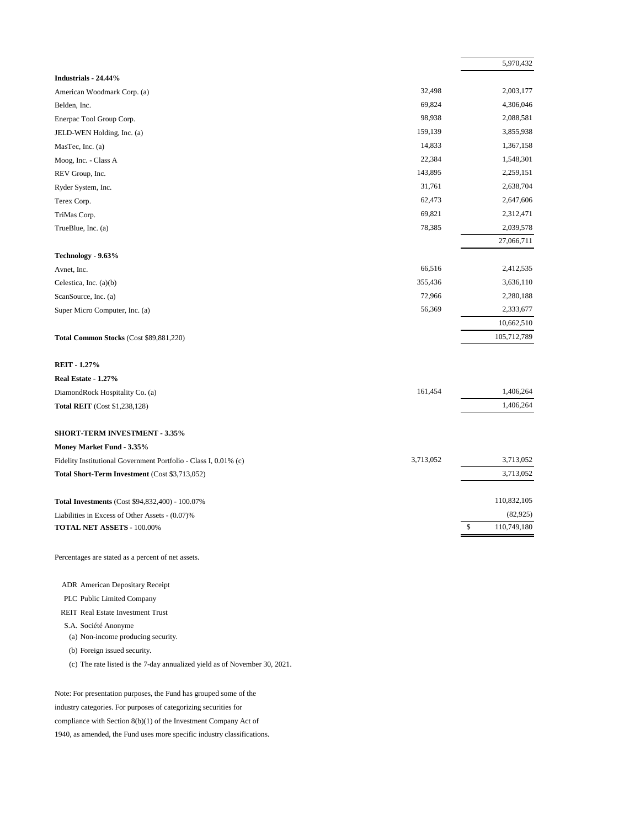|                                                                  |           | 5,970,432         |
|------------------------------------------------------------------|-----------|-------------------|
| Industrials - 24.44%                                             |           |                   |
| American Woodmark Corp. (a)                                      | 32,498    | 2,003,177         |
| Belden, Inc.                                                     | 69,824    | 4,306,046         |
| Enerpac Tool Group Corp.                                         | 98,938    | 2,088,581         |
| JELD-WEN Holding, Inc. (a)                                       | 159,139   | 3,855,938         |
| MasTec, Inc. (a)                                                 | 14,833    | 1,367,158         |
| Moog, Inc. - Class A                                             | 22,384    | 1,548,301         |
| REV Group, Inc.                                                  | 143,895   | 2,259,151         |
| Ryder System, Inc.                                               | 31,761    | 2,638,704         |
| Terex Corp.                                                      | 62,473    | 2,647,606         |
| TriMas Corp.                                                     | 69,821    | 2,312,471         |
| TrueBlue, Inc. (a)                                               | 78,385    | 2,039,578         |
| Technology - 9.63%                                               |           | 27,066,711        |
| Avnet, Inc.                                                      | 66,516    | 2,412,535         |
| Celestica, Inc. (a)(b)                                           | 355,436   | 3,636,110         |
| ScanSource, Inc. (a)                                             | 72,966    | 2,280,188         |
| Super Micro Computer, Inc. (a)                                   | 56,369    | 2,333,677         |
|                                                                  |           | 10,662,510        |
| Total Common Stocks (Cost \$89,881,220)                          |           | 105,712,789       |
| <b>REIT - 1.27%</b>                                              |           |                   |
| Real Estate - 1.27%                                              |           |                   |
| DiamondRock Hospitality Co. (a)                                  | 161,454   | 1,406,264         |
| <b>Total REIT</b> (Cost \$1,238,128)                             |           | 1,406,264         |
| <b>SHORT-TERM INVESTMENT - 3.35%</b>                             |           |                   |
| Money Market Fund - 3.35%                                        |           |                   |
| Fidelity Institutional Government Portfolio - Class I, 0.01% (c) | 3,713,052 | 3,713,052         |
| Total Short-Term Investment (Cost \$3,713,052)                   |           | 3,713,052         |
| Total Investments (Cost \$94,832,400) - 100.07%                  |           | 110,832,105       |
| Liabilities in Excess of Other Assets - (0.07)%                  |           | (82, 925)         |
| TOTAL NET ASSETS - 100.00%                                       |           | \$<br>110.749.180 |
| Percentages are stated as a percent of net assets.               |           |                   |
|                                                                  |           |                   |
| ADR American Depositary Receipt                                  |           |                   |
| PLC Public Limited Company                                       |           |                   |
| <b>REIT Real Estate Investment Trust</b>                         |           |                   |
| S.A. Société Anonyme<br>(a) Non-income producing security.       |           |                   |
| (b) Foreign issued security.                                     |           |                   |
|                                                                  |           |                   |

(c) The rate listed is the 7-day annualized yield as of November 30, 2021.

Note: For presentation purposes, the Fund has grouped some of the industry categories. For purposes of categorizing securities for compliance with Section 8(b)(1) of the Investment Company Act of 1940, as amended, the Fund uses more specific industry classifications.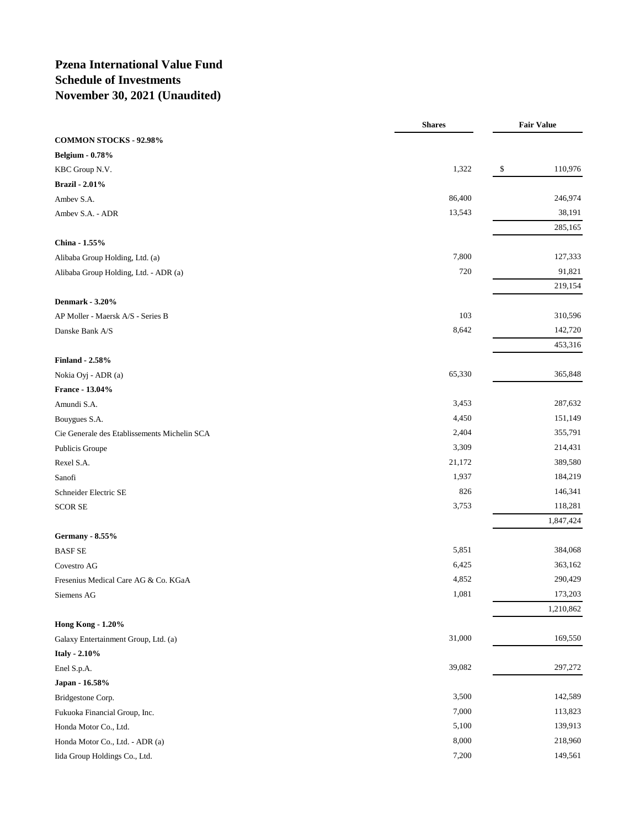### **Pzena International Value Fund Schedule of Investments November 30, 2021 (Unaudited)**

|                                              | <b>Shares</b> | <b>Fair Value</b> |
|----------------------------------------------|---------------|-------------------|
| <b>COMMON STOCKS - 92.98%</b>                |               |                   |
| <b>Belgium - 0.78%</b>                       |               |                   |
| KBC Group N.V.                               | 1,322         | 110,976<br>\$     |
| <b>Brazil</b> - 2.01%                        |               |                   |
| Ambev S.A.                                   | 86,400        | 246,974           |
| Ambev S.A. - ADR                             | 13,543        | 38,191            |
|                                              |               | 285,165           |
| China - 1.55%                                |               |                   |
| Alibaba Group Holding, Ltd. (a)              | 7,800         | 127,333           |
| Alibaba Group Holding, Ltd. - ADR (a)        | 720           | 91,821            |
|                                              |               | 219,154           |
| <b>Denmark - 3.20%</b>                       |               |                   |
| AP Moller - Maersk A/S - Series B            | 103           | 310,596           |
| Danske Bank A/S                              | 8,642         | 142,720           |
|                                              |               | 453,316           |
| <b>Finland - 2.58%</b>                       |               |                   |
| Nokia Oyj - ADR (a)                          | 65,330        | 365,848           |
| France - 13.04%                              |               |                   |
| Amundi S.A.                                  | 3,453         | 287,632           |
| Bouygues S.A.                                | 4,450         | 151,149           |
| Cie Generale des Etablissements Michelin SCA | 2,404         | 355,791           |
| Publicis Groupe                              | 3,309         | 214,431           |
| Rexel S.A.                                   | 21,172        | 389,580           |
| Sanofi                                       | 1,937         | 184,219           |
| Schneider Electric SE                        | 826           | 146,341           |
| <b>SCOR SE</b>                               | 3,753         | 118,281           |
|                                              |               | 1,847,424         |
| <b>Germany - 8.55%</b>                       |               |                   |
| <b>BASF SE</b>                               | 5,851         | 384,068           |
| Covestro AG                                  | 6,425         | 363,162           |
| Fresenius Medical Care AG & Co. KGaA         | 4,852         | 290,429           |
| Siemens AG                                   | 1,081         | 173,203           |
|                                              |               | 1,210,862         |
| <b>Hong Kong - 1.20%</b>                     |               |                   |
| Galaxy Entertainment Group, Ltd. (a)         | 31,000        | 169,550           |
| Italy - 2.10%                                |               |                   |
| Enel S.p.A.                                  | 39,082        | 297,272           |
| Japan - 16.58%                               |               |                   |
| Bridgestone Corp.                            | 3,500         | 142,589           |
| Fukuoka Financial Group, Inc.                | 7,000         | 113,823           |
| Honda Motor Co., Ltd.                        | 5,100         | 139,913           |
| Honda Motor Co., Ltd. - ADR (a)              | 8,000         | 218,960           |
| Iida Group Holdings Co., Ltd.                | 7,200         | 149,561           |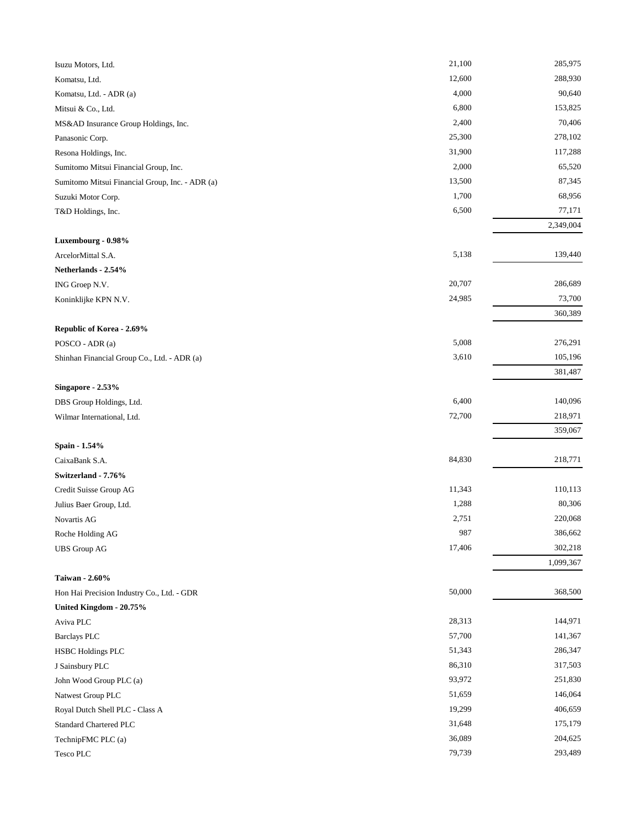| Isuzu Motors, Ltd.                              | 21,100 | 285,975   |
|-------------------------------------------------|--------|-----------|
| Komatsu, Ltd.                                   | 12,600 | 288,930   |
| Komatsu, Ltd. - ADR (a)                         | 4,000  | 90,640    |
| Mitsui & Co., Ltd.                              | 6,800  | 153,825   |
| MS&AD Insurance Group Holdings, Inc.            | 2,400  | 70,406    |
| Panasonic Corp.                                 | 25,300 | 278,102   |
| Resona Holdings, Inc.                           | 31,900 | 117,288   |
| Sumitomo Mitsui Financial Group, Inc.           | 2,000  | 65,520    |
| Sumitomo Mitsui Financial Group, Inc. - ADR (a) | 13,500 | 87,345    |
| Suzuki Motor Corp.                              | 1,700  | 68,956    |
| T&D Holdings, Inc.                              | 6,500  | 77,171    |
|                                                 |        | 2,349,004 |
| Luxembourg - 0.98%                              |        |           |
| ArcelorMittal S.A.                              | 5,138  | 139,440   |
| Netherlands - 2.54%                             |        |           |
| ING Groep N.V.                                  | 20,707 | 286,689   |
| Koninklijke KPN N.V.                            | 24,985 | 73,700    |
|                                                 |        | 360,389   |
| Republic of Korea - 2.69%                       |        |           |
| POSCO - ADR (a)                                 | 5,008  | 276,291   |
| Shinhan Financial Group Co., Ltd. - ADR (a)     | 3,610  | 105,196   |
|                                                 |        | 381,487   |
| Singapore - 2.53%                               |        |           |
| DBS Group Holdings, Ltd.                        | 6,400  | 140,096   |
| Wilmar International, Ltd.                      | 72,700 | 218,971   |
|                                                 |        | 359,067   |
| Spain - 1.54%                                   |        |           |
| CaixaBank S.A.                                  | 84,830 | 218,771   |
| Switzerland - 7.76%                             |        |           |
| Credit Suisse Group AG                          | 11,343 | 110,113   |
| Julius Baer Group, Ltd.                         | 1,288  | 80,306    |
| Novartis AG                                     | 2,751  | 220,068   |
| Roche Holding AG                                | 987    | 386,662   |
| <b>UBS</b> Group AG                             | 17,406 | 302,218   |
|                                                 |        | 1,099,367 |
| Taiwan - 2.60%                                  |        |           |
| Hon Hai Precision Industry Co., Ltd. - GDR      | 50,000 | 368,500   |
| United Kingdom - 20.75%                         |        |           |
| Aviva PLC                                       | 28,313 | 144,971   |
| <b>Barclays PLC</b>                             | 57,700 | 141,367   |
| <b>HSBC Holdings PLC</b>                        | 51,343 | 286,347   |
| J Sainsbury PLC                                 | 86,310 | 317,503   |
| John Wood Group PLC (a)                         | 93,972 | 251,830   |
| Natwest Group PLC                               | 51,659 | 146,064   |
| Royal Dutch Shell PLC - Class A                 | 19,299 | 406,659   |
| <b>Standard Chartered PLC</b>                   | 31,648 | 175,179   |
| TechnipFMC PLC (a)                              | 36,089 | 204,625   |
| Tesco PLC                                       | 79,739 | 293,489   |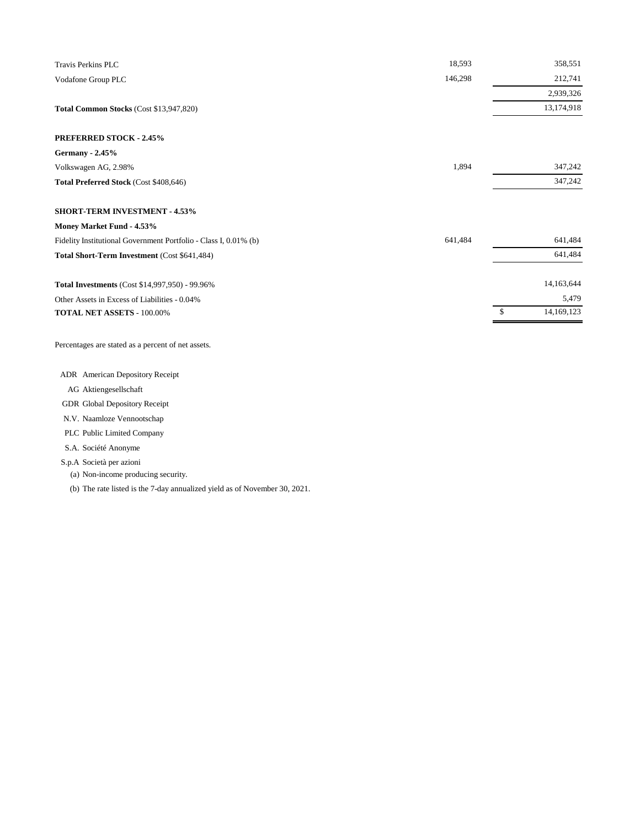| <b>Travis Perkins PLC</b>                                        | 18,593  | 358,551    |
|------------------------------------------------------------------|---------|------------|
| Vodafone Group PLC                                               | 146,298 | 212,741    |
|                                                                  |         | 2,939,326  |
| Total Common Stocks (Cost \$13,947,820)                          |         | 13,174,918 |
| <b>PREFERRED STOCK - 2.45%</b>                                   |         |            |
| <b>Germany - 2.45%</b>                                           |         |            |
| Volkswagen AG, 2.98%                                             | 1,894   | 347,242    |
| Total Preferred Stock (Cost \$408,646)                           |         | 347,242    |
| <b>SHORT-TERM INVESTMENT - 4.53%</b>                             |         |            |
| Money Market Fund - 4.53%                                        |         |            |
| Fidelity Institutional Government Portfolio - Class I, 0.01% (b) | 641,484 | 641,484    |
| Total Short-Term Investment (Cost \$641,484)                     |         | 641,484    |
| Total Investments (Cost \$14,997,950) - 99.96%                   |         | 14,163,644 |
| Other Assets in Excess of Liabilities - 0.04%                    |         | 5,479      |
| TOTAL NET ASSETS - 100.00%                                       |         | 14,169,123 |

Percentages are stated as a percent of net assets.

ADR American Depository Receipt

- AG Aktiengesellschaft
- GDR Global Depository Receipt

N.V. Naamloze Vennootschap

PLC Public Limited Company

S.A. Société Anonyme

S.p.A Società per azioni

(a) Non-income producing security.

(b) The rate listed is the 7-day annualized yield as of November 30, 2021.